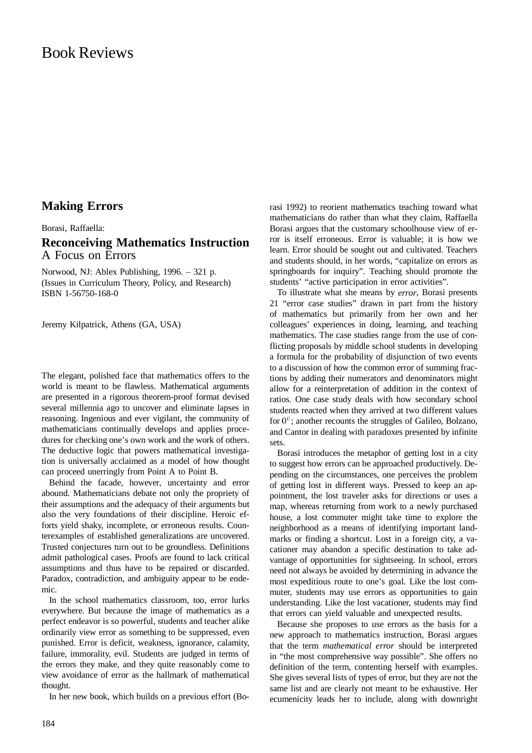# Book Reviews

### **Making Errors**

Borasi, Raffaella:

## **Reconceiving Mathematics Instruction** A Focus on Errors

Norwood, NJ: Ablex Publishing, 1996. – 321 p. (Issues in Curriculum Theory, Policy, and Research) ISBN 1-56750-168-0

Jeremy Kilpatrick, Athens (GA, USA)

The elegant, polished face that mathematics offers to the world is meant to be flawless. Mathematical arguments are presented in a rigorous theorem-proof format devised several millennia ago to uncover and eliminate lapses in reasoning. Ingenious and ever vigilant, the community of mathematicians continually develops and applies procedures for checking one's own work and the work of others. The deductive logic that powers mathematical investigation is universally acclaimed as a model of how thought can proceed unerringly from Point A to Point B.

Behind the facade, however, uncertainty and error abound. Mathematicians debate not only the propriety of their assumptions and the adequacy of their arguments but also the very foundations of their discipline. Heroic efforts yield shaky, incomplete, or erroneous results. Counterexamples of established generalizations are uncovered. Trusted conjectures turn out to be groundless. Definitions admit pathological cases. Proofs are found to lack critical assumptions and thus have to be repaired or discarded. Paradox, contradiction, and ambiguity appear to be endemic.

In the school mathematics classroom, too, error lurks everywhere. But because the image of mathematics as a perfect endeavor is so powerful, students and teacher alike ordinarily view error as something to be suppressed, even punished. Error is deficit, weakness, ignorance, calamity, failure, immorality, evil. Students are judged in terms of the errors they make, and they quite reasonably come to view avoidance of error as the hallmark of mathematical thought.

In her new book, which builds on a previous effort (Bo-

rasi 1992) to reorient mathematics teaching toward what mathematicians do rather than what they claim, Raffaella Borasi argues that the customary schoolhouse view of error is itself erroneous. Error is valuable; it is how we learn. Error should be sought out and cultivated. Teachers and students should, in her words, "capitalize on errors as springboards for inquiry". Teaching should promote the students' "active participation in error activities".

To illustrate what she means by *error*, Borasi presents 21 "error case studies" drawn in part from the history of mathematics but primarily from her own and her colleagues' experiences in doing, learning, and teaching mathematics. The case studies range from the use of conflicting proposals by middle school students in developing a formula for the probability of disjunction of two events to a discussion of how the common error of summing fractions by adding their numerators and denominators might allow for a reinterpretation of addition in the context of ratios. One case study deals with how secondary school students reacted when they arrived at two different values for  $0^0$ ; another recounts the struggles of Galileo, Bolzano, and Cantor in dealing with paradoxes presented by infinite sets.

Borasi introduces the metaphor of getting lost in a city to suggest how errors can be approached productively. Depending on the circumstances, one perceives the problem of getting lost in different ways. Pressed to keep an appointment, the lost traveler asks for directions or uses a map, whereas returning from work to a newly purchased house, a lost commuter might take time to explore the neighborhood as a means of identifying important landmarks or finding a shortcut. Lost in a foreign city, a vacationer may abandon a specific destination to take advantage of opportunities for sightseeing. In school, errors need not always be avoided by determining in advance the most expeditious route to one's goal. Like the lost commuter, students may use errors as opportunities to gain understanding. Like the lost vacationer, students may find that errors can yield valuable and unexpected results.

Because she proposes to use errors as the basis for a new approach to mathematics instruction, Borasi argues that the term *mathematical error* should be interpreted in "the most comprehensive way possible". She offers no definition of the term, contenting herself with examples. She gives several lists of types of error, but they are not the same list and are clearly not meant to be exhaustive. Her ecumenicity leads her to include, along with downright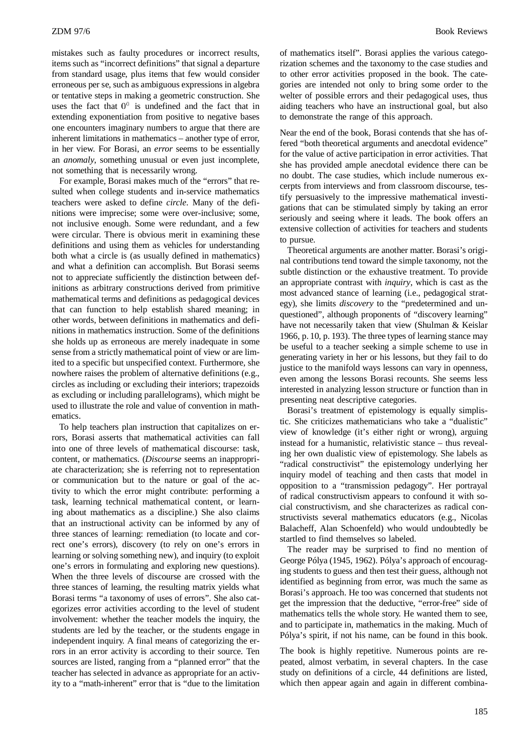mistakes such as faulty procedures or incorrect results, items such as "incorrect definitions" that signal a departure from standard usage, plus items that few would consider erroneous per se, such as ambiguous expressions in algebra or tentative steps in making a geometric construction. She uses the fact that  $0^0$  is undefined and the fact that in extending exponentiation from positive to negative bases one encounters imaginary numbers to argue that there are inherent limitations in mathematics – another type of error, in her view. For Borasi, an *error* seems to be essentially an *anomaly*, something unusual or even just incomplete, not something that is necessarily wrong.

For example, Borasi makes much of the "errors" that resulted when college students and in-service mathematics teachers were asked to define *circle*. Many of the definitions were imprecise; some were over-inclusive; some, not inclusive enough. Some were redundant, and a few were circular. There is obvious merit in examining these definitions and using them as vehicles for understanding both what a circle is (as usually defined in mathematics) and what a definition can accomplish. But Borasi seems not to appreciate sufficiently the distinction between definitions as arbitrary constructions derived from primitive mathematical terms and definitions as pedagogical devices that can function to help establish shared meaning; in other words, between definitions in mathematics and definitions in mathematics instruction. Some of the definitions she holds up as erroneous are merely inadequate in some sense from a strictly mathematical point of view or are limited to a specific but unspecified context. Furthermore, she nowhere raises the problem of alternative definitions (e.g., circles as including or excluding their interiors; trapezoids as excluding or including parallelograms), which might be used to illustrate the role and value of convention in mathematics.

To help teachers plan instruction that capitalizes on errors, Borasi asserts that mathematical activities can fall into one of three levels of mathematical discourse: task, content, or mathematics. (*Discourse* seems an inappropriate characterization; she is referring not to representation or communication but to the nature or goal of the activity to which the error might contribute: performing a task, learning technical mathematical content, or learning about mathematics as a discipline.) She also claims that an instructional activity can be informed by any of three stances of learning: remediation (to locate and correct one's errors), discovery (to rely on one's errors in learning or solving something new), and inquiry (to exploit one's errors in formulating and exploring new questions). When the three levels of discourse are crossed with the three stances of learning, the resulting matrix yields what Borasi terms "a taxonomy of uses of errors". She also categorizes error activities according to the level of student involvement: whether the teacher models the inquiry, the students are led by the teacher, or the students engage in independent inquiry. A final means of categorizing the errors in an error activity is according to their source. Ten sources are listed, ranging from a "planned error" that the teacher has selected in advance as appropriate for an activity to a "math-inherent" error that is "due to the limitation

of mathematics itself". Borasi applies the various categorization schemes and the taxonomy to the case studies and to other error activities proposed in the book. The categories are intended not only to bring some order to the welter of possible errors and their pedagogical uses, thus aiding teachers who have an instructional goal, but also to demonstrate the range of this approach.

Near the end of the book, Borasi contends that she has offered "both theoretical arguments and anecdotal evidence" for the value of active participation in error activities. That she has provided ample anecdotal evidence there can be no doubt. The case studies, which include numerous excerpts from interviews and from classroom discourse, testify persuasively to the impressive mathematical investigations that can be stimulated simply by taking an error seriously and seeing where it leads. The book offers an extensive collection of activities for teachers and students to pursue.

Theoretical arguments are another matter. Borasi's original contributions tend toward the simple taxonomy, not the subtle distinction or the exhaustive treatment. To provide an appropriate contrast with *inquiry*, which is cast as the most advanced stance of learning (i.e., pedagogical strategy), she limits *discovery* to the "predetermined and unquestioned", although proponents of "discovery learning" have not necessarily taken that view (Shulman & Keislar 1966, p. 10, p. 193). The three types of learning stance may be useful to a teacher seeking a simple scheme to use in generating variety in her or his lessons, but they fail to do justice to the manifold ways lessons can vary in openness, even among the lessons Borasi recounts. She seems less interested in analyzing lesson structure or function than in presenting neat descriptive categories.

Borasi's treatment of epistemology is equally simplistic. She criticizes mathematicians who take a "dualistic" view of knowledge (it's either right or wrong), arguing instead for a humanistic, relativistic stance – thus revealing her own dualistic view of epistemology. She labels as "radical constructivist" the epistemology underlying her inquiry model of teaching and then casts that model in opposition to a "transmission pedagogy". Her portrayal of radical constructivism appears to confound it with social constructivism, and she characterizes as radical constructivists several mathematics educators (e.g., Nicolas Balacheff, Alan Schoenfeld) who would undoubtedly be startled to find themselves so labeled.

The reader may be surprised to find no mention of George Pólya (1945, 1962). Pólya's approach of encouraging students to guess and then test their guess, although not identified as beginning from error, was much the same as Borasi's approach. He too was concerned that students not get the impression that the deductive, "error-free" side of mathematics tells the whole story. He wanted them to see, and to participate in, mathematics in the making. Much of Pólya's spirit, if not his name, can be found in this book.

The book is highly repetitive. Numerous points are repeated, almost verbatim, in several chapters. In the case study on definitions of a circle, 44 definitions are listed, which then appear again and again in different combina